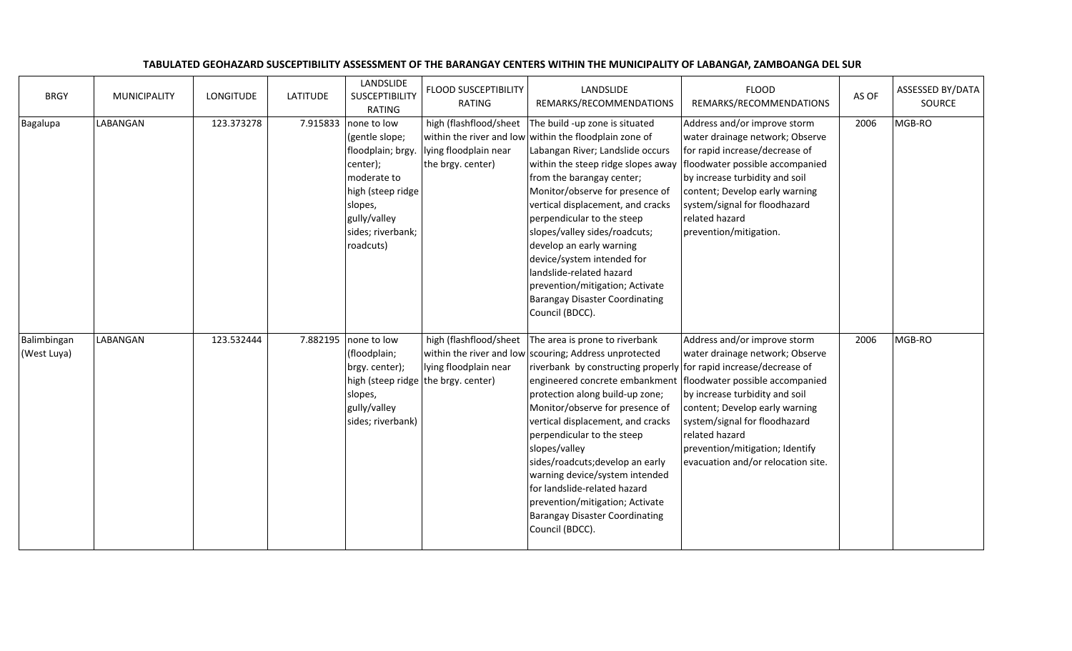| <b>BRGY</b>                | <b>MUNICIPALITY</b> | <b>LONGITUDE</b> | <b>LATITUDE</b> | LANDSLIDE<br><b>SUSCEPTIBILITY</b><br><b>RATING</b>                                                                                                                      | <b>FLOOD SUSCEPTIBILITY</b><br><b>RATING</b>                                           | LANDSLIDE<br>REMARKS/RECOMMENDATIONS                                                                                                                                                                                                                                                                                                                                                                                                                                                                                                                                                             | <b>FLOOD</b><br>REMARKS/RECOMMENDATIONS                                                                                                                                                                                                                                               | AS OF | ASSESSED BY/DATA<br>SOURCE |
|----------------------------|---------------------|------------------|-----------------|--------------------------------------------------------------------------------------------------------------------------------------------------------------------------|----------------------------------------------------------------------------------------|--------------------------------------------------------------------------------------------------------------------------------------------------------------------------------------------------------------------------------------------------------------------------------------------------------------------------------------------------------------------------------------------------------------------------------------------------------------------------------------------------------------------------------------------------------------------------------------------------|---------------------------------------------------------------------------------------------------------------------------------------------------------------------------------------------------------------------------------------------------------------------------------------|-------|----------------------------|
| Bagalupa                   | LABANGAN            | 123.373278       |                 | 7.915833 none to low<br>(gentle slope;<br>floodplain; brgy.<br>center);<br>moderate to<br>high (steep ridge<br>slopes,<br>gully/valley<br>sides; riverbank;<br>roadcuts) | high (flashflood/sheet<br>lying floodplain near<br>the brgy. center)                   | The build -up zone is situated<br>within the river and low within the floodplain zone of<br>Labangan River; Landslide occurs<br>within the steep ridge slopes away<br>from the barangay center;<br>Monitor/observe for presence of<br>vertical displacement, and cracks<br>perpendicular to the steep<br>slopes/valley sides/roadcuts;<br>develop an early warning<br>device/system intended for<br>landslide-related hazard<br>prevention/mitigation; Activate<br><b>Barangay Disaster Coordinating</b><br>Council (BDCC).                                                                      | Address and/or improve storm<br>water drainage network; Observe<br>for rapid increase/decrease of<br>floodwater possible accompanied<br>by increase turbidity and soil<br>content; Develop early warning<br>system/signal for floodhazard<br>related hazard<br>prevention/mitigation. | 2006  | MGB-RO                     |
| Balimbingan<br>(West Luya) | LABANGAN            | 123.532444       | 7.882195        | none to low<br>(floodplain;<br>brgy. center);<br>slopes,<br>gully/valley<br>sides; riverbank)                                                                            | high (flashflood/sheet<br>lying floodplain near<br>high (steep ridge the brgy. center) | The area is prone to riverbank<br>within the river and low scouring; Address unprotected<br>riverbank by constructing properly for rapid increase/decrease of<br>engineered concrete embankment   floodwater possible accompanied<br>protection along build-up zone;<br>Monitor/observe for presence of<br>vertical displacement, and cracks<br>perpendicular to the steep<br>slopes/valley<br>sides/roadcuts; develop an early<br>warning device/system intended<br>for landslide-related hazard<br>prevention/mitigation; Activate<br><b>Barangay Disaster Coordinating</b><br>Council (BDCC). | Address and/or improve storm<br>water drainage network; Observe<br>by increase turbidity and soil<br>content; Develop early warning<br>system/signal for floodhazard<br>related hazard<br>prevention/mitigation; Identify<br>evacuation and/or relocation site.                       | 2006  | MGB-RO                     |

## TABULATED GEOHAZARD SUSCEPTIBILITY ASSESSMENT OF THE BARANGAY CENTERS WITHIN THE MUNICIPALITY OF LABANGAN, ZAMBOANGA DEL SUR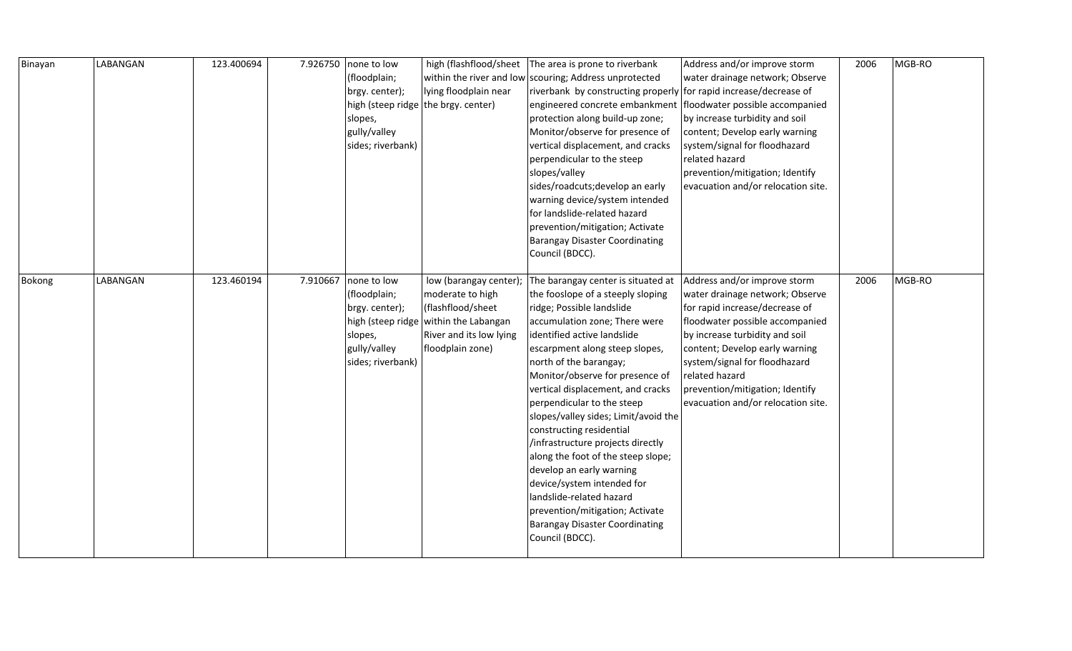| Binayan | LABANGAN | 123.400694 | 7.926750 | none to low<br>(floodplain;<br>brgy. center);<br>slopes,<br>gully/valley<br>sides; riverbank) | high (flashflood/sheet<br>within the river and low<br>lying floodplain near<br>high (steep ridge the brgy. center)                                      | The area is prone to riverbank<br>scouring; Address unprotected<br>riverbank by constructing properly for rapid increase/decrease of<br>engineered concrete embankment   floodwater possible accompanied<br>protection along build-up zone;<br>Monitor/observe for presence of<br>vertical displacement, and cracks<br>perpendicular to the steep<br>slopes/valley<br>sides/roadcuts; develop an early<br>warning device/system intended<br>for landslide-related hazard<br>prevention/mitigation; Activate<br><b>Barangay Disaster Coordinating</b><br>Council (BDCC).                                                                                                    | Address and/or improve storm<br>water drainage network; Observe<br>by increase turbidity and soil<br>content; Develop early warning<br>system/signal for floodhazard<br>related hazard<br>prevention/mitigation; Identify<br>evacuation and/or relocation site.                                                                      | 2006 | MGB-RO |
|---------|----------|------------|----------|-----------------------------------------------------------------------------------------------|---------------------------------------------------------------------------------------------------------------------------------------------------------|----------------------------------------------------------------------------------------------------------------------------------------------------------------------------------------------------------------------------------------------------------------------------------------------------------------------------------------------------------------------------------------------------------------------------------------------------------------------------------------------------------------------------------------------------------------------------------------------------------------------------------------------------------------------------|--------------------------------------------------------------------------------------------------------------------------------------------------------------------------------------------------------------------------------------------------------------------------------------------------------------------------------------|------|--------|
| Bokong  | LABANGAN | 123.460194 | 7.910667 | none to low<br>(floodplain;<br>brgy. center);<br>slopes,<br>gully/valley<br>sides; riverbank) | low (barangay center);<br>moderate to high<br>(flashflood/sheet<br>high (steep ridge within the Labangan<br>River and its low lying<br>floodplain zone) | The barangay center is situated at<br>the fooslope of a steeply sloping<br>ridge; Possible landslide<br>accumulation zone; There were<br>identified active landslide<br>escarpment along steep slopes,<br>north of the barangay;<br>Monitor/observe for presence of<br>vertical displacement, and cracks<br>perpendicular to the steep<br>slopes/valley sides; Limit/avoid the<br>constructing residential<br>/infrastructure projects directly<br>along the foot of the steep slope;<br>develop an early warning<br>device/system intended for<br>landslide-related hazard<br>prevention/mitigation; Activate<br><b>Barangay Disaster Coordinating</b><br>Council (BDCC). | Address and/or improve storm<br>water drainage network; Observe<br>for rapid increase/decrease of<br>floodwater possible accompanied<br>by increase turbidity and soil<br>content; Develop early warning<br>system/signal for floodhazard<br>related hazard<br>prevention/mitigation; Identify<br>evacuation and/or relocation site. | 2006 | MGB-RO |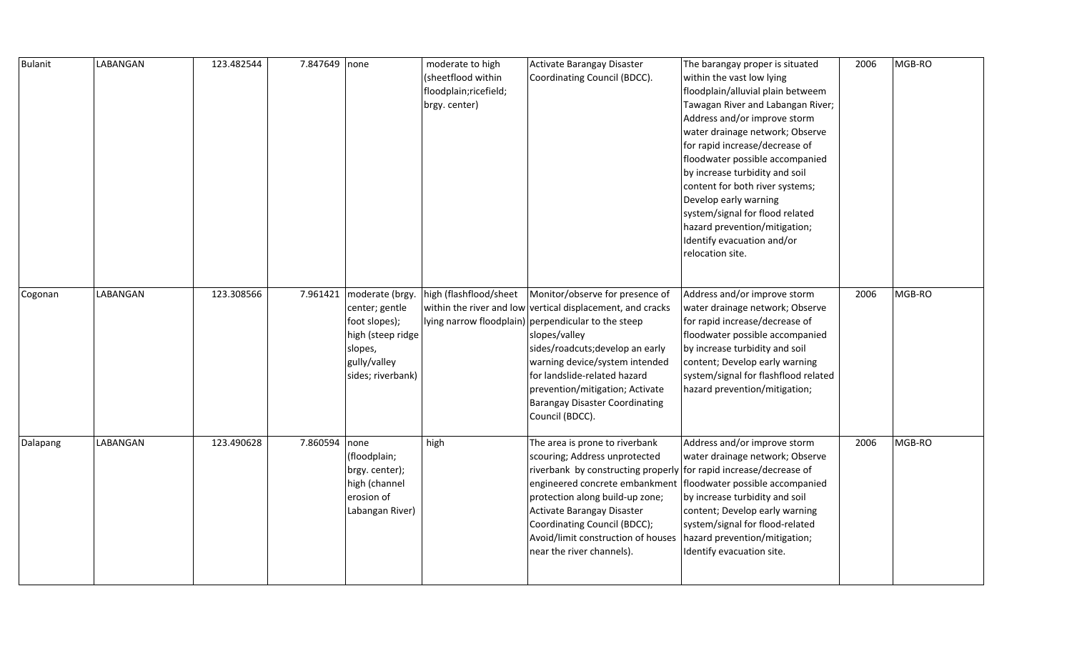| Bulanit  | LABANGAN | 123.482544 | 7.847649 none |                                                                                                                                  | moderate to high<br>(sheetflood within<br>floodplain; ricefield;<br>brgy. center) | Activate Barangay Disaster<br>Coordinating Council (BDCC).                                                                                                                                                                                                                                                                                                                                          | The barangay proper is situated<br>within the vast low lying<br>floodplain/alluvial plain betweem<br>Tawagan River and Labangan River;<br>Address and/or improve storm<br>water drainage network; Observe<br>for rapid increase/decrease of<br>floodwater possible accompanied<br>by increase turbidity and soil<br>content for both river systems;<br>Develop early warning<br>system/signal for flood related<br>hazard prevention/mitigation;<br>Identify evacuation and/or<br>relocation site. | 2006 | MGB-RO |
|----------|----------|------------|---------------|----------------------------------------------------------------------------------------------------------------------------------|-----------------------------------------------------------------------------------|-----------------------------------------------------------------------------------------------------------------------------------------------------------------------------------------------------------------------------------------------------------------------------------------------------------------------------------------------------------------------------------------------------|----------------------------------------------------------------------------------------------------------------------------------------------------------------------------------------------------------------------------------------------------------------------------------------------------------------------------------------------------------------------------------------------------------------------------------------------------------------------------------------------------|------|--------|
| Cogonan  | LABANGAN | 123.308566 |               | 7.961421 moderate (brgy.<br>center; gentle<br>foot slopes);<br>high (steep ridge<br>slopes,<br>gully/valley<br>sides; riverbank) |                                                                                   | high (flashflood/sheet   Monitor/observe for presence of<br>within the river and low vertical displacement, and cracks<br>lying narrow floodplain) perpendicular to the steep<br>slopes/valley<br>sides/roadcuts; develop an early<br>warning device/system intended<br>for landslide-related hazard<br>prevention/mitigation; Activate<br><b>Barangay Disaster Coordinating</b><br>Council (BDCC). | Address and/or improve storm<br>water drainage network; Observe<br>for rapid increase/decrease of<br>floodwater possible accompanied<br>by increase turbidity and soil<br>content; Develop early warning<br>system/signal for flashflood related<br>hazard prevention/mitigation;                                                                                                                                                                                                                  | 2006 | MGB-RO |
| Dalapang | LABANGAN | 123.490628 | 7.860594 none | (floodplain;<br>brgy. center);<br>high (channel<br>erosion of<br>Labangan River)                                                 | high                                                                              | The area is prone to riverbank<br>scouring; Address unprotected<br>riverbank by constructing properly for rapid increase/decrease of<br>engineered concrete embankment   floodwater possible accompanied<br>protection along build-up zone;<br>Activate Barangay Disaster<br>Coordinating Council (BDCC);<br>Avoid/limit construction of houses<br>near the river channels).                        | Address and/or improve storm<br>water drainage network; Observe<br>by increase turbidity and soil<br>content; Develop early warning<br>system/signal for flood-related<br>hazard prevention/mitigation;<br>Identify evacuation site.                                                                                                                                                                                                                                                               | 2006 | MGB-RO |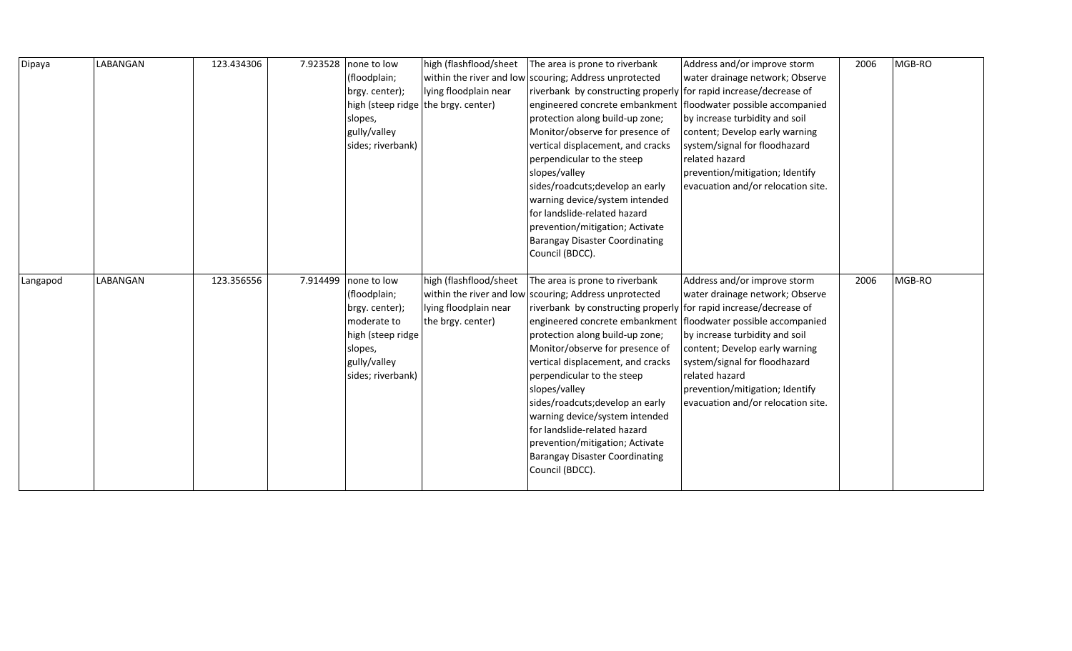| Dipaya   | LABANGAN | 123.434306 | 7.923528 | none to low                                                                                                                       | high (flashflood/sheet                                               | The area is prone to riverbank                                                                                                                                                                                                                                                                                                                                                                                                                                                                                                                                                                                             | Address and/or improve storm                                                                                                                                                                                                                                                                       | 2006 | MGB-RO |
|----------|----------|------------|----------|-----------------------------------------------------------------------------------------------------------------------------------|----------------------------------------------------------------------|----------------------------------------------------------------------------------------------------------------------------------------------------------------------------------------------------------------------------------------------------------------------------------------------------------------------------------------------------------------------------------------------------------------------------------------------------------------------------------------------------------------------------------------------------------------------------------------------------------------------------|----------------------------------------------------------------------------------------------------------------------------------------------------------------------------------------------------------------------------------------------------------------------------------------------------|------|--------|
|          |          |            |          | (floodplain;                                                                                                                      |                                                                      | within the river and low scouring; Address unprotected                                                                                                                                                                                                                                                                                                                                                                                                                                                                                                                                                                     | water drainage network; Observe                                                                                                                                                                                                                                                                    |      |        |
|          |          |            |          | brgy. center);                                                                                                                    | lying floodplain near                                                | riverbank by constructing properly for rapid increase/decrease of                                                                                                                                                                                                                                                                                                                                                                                                                                                                                                                                                          |                                                                                                                                                                                                                                                                                                    |      |        |
|          |          |            |          |                                                                                                                                   | high (steep ridge the brgy. center)                                  | engineered concrete embankment                                                                                                                                                                                                                                                                                                                                                                                                                                                                                                                                                                                             | floodwater possible accompanied                                                                                                                                                                                                                                                                    |      |        |
|          |          |            |          | slopes,                                                                                                                           |                                                                      | protection along build-up zone;                                                                                                                                                                                                                                                                                                                                                                                                                                                                                                                                                                                            | by increase turbidity and soil                                                                                                                                                                                                                                                                     |      |        |
|          |          |            |          | gully/valley                                                                                                                      |                                                                      | Monitor/observe for presence of                                                                                                                                                                                                                                                                                                                                                                                                                                                                                                                                                                                            | content; Develop early warning                                                                                                                                                                                                                                                                     |      |        |
|          |          |            |          | sides; riverbank)                                                                                                                 |                                                                      | vertical displacement, and cracks                                                                                                                                                                                                                                                                                                                                                                                                                                                                                                                                                                                          | system/signal for floodhazard                                                                                                                                                                                                                                                                      |      |        |
|          |          |            |          |                                                                                                                                   |                                                                      | perpendicular to the steep                                                                                                                                                                                                                                                                                                                                                                                                                                                                                                                                                                                                 | related hazard                                                                                                                                                                                                                                                                                     |      |        |
|          |          |            |          |                                                                                                                                   |                                                                      | slopes/valley                                                                                                                                                                                                                                                                                                                                                                                                                                                                                                                                                                                                              | prevention/mitigation; Identify                                                                                                                                                                                                                                                                    |      |        |
|          |          |            |          |                                                                                                                                   |                                                                      | sides/roadcuts; develop an early                                                                                                                                                                                                                                                                                                                                                                                                                                                                                                                                                                                           | evacuation and/or relocation site.                                                                                                                                                                                                                                                                 |      |        |
|          |          |            |          |                                                                                                                                   |                                                                      | warning device/system intended                                                                                                                                                                                                                                                                                                                                                                                                                                                                                                                                                                                             |                                                                                                                                                                                                                                                                                                    |      |        |
|          |          |            |          |                                                                                                                                   |                                                                      | for landslide-related hazard                                                                                                                                                                                                                                                                                                                                                                                                                                                                                                                                                                                               |                                                                                                                                                                                                                                                                                                    |      |        |
|          |          |            |          |                                                                                                                                   |                                                                      | prevention/mitigation; Activate                                                                                                                                                                                                                                                                                                                                                                                                                                                                                                                                                                                            |                                                                                                                                                                                                                                                                                                    |      |        |
|          |          |            |          |                                                                                                                                   |                                                                      |                                                                                                                                                                                                                                                                                                                                                                                                                                                                                                                                                                                                                            |                                                                                                                                                                                                                                                                                                    |      |        |
|          |          |            |          |                                                                                                                                   |                                                                      |                                                                                                                                                                                                                                                                                                                                                                                                                                                                                                                                                                                                                            |                                                                                                                                                                                                                                                                                                    |      |        |
|          |          |            |          |                                                                                                                                   |                                                                      |                                                                                                                                                                                                                                                                                                                                                                                                                                                                                                                                                                                                                            |                                                                                                                                                                                                                                                                                                    |      |        |
|          |          |            |          |                                                                                                                                   |                                                                      |                                                                                                                                                                                                                                                                                                                                                                                                                                                                                                                                                                                                                            |                                                                                                                                                                                                                                                                                                    |      |        |
|          |          |            |          |                                                                                                                                   |                                                                      |                                                                                                                                                                                                                                                                                                                                                                                                                                                                                                                                                                                                                            |                                                                                                                                                                                                                                                                                                    |      |        |
|          |          |            |          |                                                                                                                                   |                                                                      |                                                                                                                                                                                                                                                                                                                                                                                                                                                                                                                                                                                                                            |                                                                                                                                                                                                                                                                                                    |      |        |
|          |          |            |          |                                                                                                                                   |                                                                      |                                                                                                                                                                                                                                                                                                                                                                                                                                                                                                                                                                                                                            |                                                                                                                                                                                                                                                                                                    |      |        |
|          |          |            |          |                                                                                                                                   |                                                                      |                                                                                                                                                                                                                                                                                                                                                                                                                                                                                                                                                                                                                            |                                                                                                                                                                                                                                                                                                    |      |        |
|          |          |            |          |                                                                                                                                   |                                                                      |                                                                                                                                                                                                                                                                                                                                                                                                                                                                                                                                                                                                                            |                                                                                                                                                                                                                                                                                                    |      |        |
|          |          |            |          |                                                                                                                                   |                                                                      |                                                                                                                                                                                                                                                                                                                                                                                                                                                                                                                                                                                                                            |                                                                                                                                                                                                                                                                                                    |      |        |
|          |          |            |          |                                                                                                                                   |                                                                      |                                                                                                                                                                                                                                                                                                                                                                                                                                                                                                                                                                                                                            |                                                                                                                                                                                                                                                                                                    |      |        |
|          |          |            |          |                                                                                                                                   |                                                                      |                                                                                                                                                                                                                                                                                                                                                                                                                                                                                                                                                                                                                            |                                                                                                                                                                                                                                                                                                    |      |        |
|          |          |            |          |                                                                                                                                   |                                                                      |                                                                                                                                                                                                                                                                                                                                                                                                                                                                                                                                                                                                                            |                                                                                                                                                                                                                                                                                                    |      |        |
|          |          |            |          |                                                                                                                                   |                                                                      |                                                                                                                                                                                                                                                                                                                                                                                                                                                                                                                                                                                                                            |                                                                                                                                                                                                                                                                                                    |      |        |
|          |          |            |          |                                                                                                                                   |                                                                      |                                                                                                                                                                                                                                                                                                                                                                                                                                                                                                                                                                                                                            |                                                                                                                                                                                                                                                                                                    |      |        |
|          |          |            |          |                                                                                                                                   |                                                                      |                                                                                                                                                                                                                                                                                                                                                                                                                                                                                                                                                                                                                            |                                                                                                                                                                                                                                                                                                    |      |        |
|          |          |            |          |                                                                                                                                   |                                                                      |                                                                                                                                                                                                                                                                                                                                                                                                                                                                                                                                                                                                                            |                                                                                                                                                                                                                                                                                                    |      |        |
|          |          |            |          |                                                                                                                                   |                                                                      |                                                                                                                                                                                                                                                                                                                                                                                                                                                                                                                                                                                                                            |                                                                                                                                                                                                                                                                                                    |      |        |
| Langapod | LABANGAN | 123.356556 | 7.914499 | none to low<br>(floodplain;<br>brgy. center);<br>moderate to<br>high (steep ridge<br>slopes,<br>gully/valley<br>sides; riverbank) | high (flashflood/sheet<br>lying floodplain near<br>the brgy. center) | <b>Barangay Disaster Coordinating</b><br>Council (BDCC).<br>The area is prone to riverbank<br>within the river and low scouring; Address unprotected<br>riverbank by constructing properly for rapid increase/decrease of<br>engineered concrete embankment<br>protection along build-up zone;<br>Monitor/observe for presence of<br>vertical displacement, and cracks<br>perpendicular to the steep<br>slopes/valley<br>sides/roadcuts; develop an early<br>warning device/system intended<br>for landslide-related hazard<br>prevention/mitigation; Activate<br><b>Barangay Disaster Coordinating</b><br>Council (BDCC). | Address and/or improve storm<br>water drainage network; Observe<br>floodwater possible accompanied<br>by increase turbidity and soil<br>content; Develop early warning<br>system/signal for floodhazard<br>related hazard<br>prevention/mitigation; Identify<br>evacuation and/or relocation site. | 2006 | MGB-RO |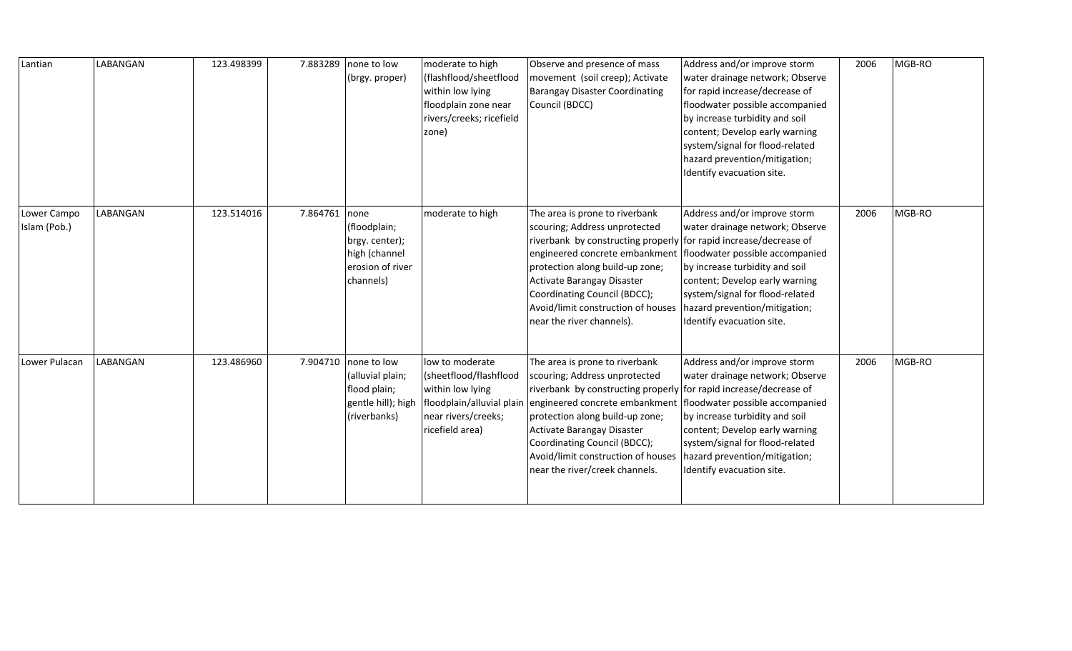| Lantian                     | LABANGAN | 123.498399 | 7.883289 | none to low<br>(brgy. proper)                                                            | moderate to high<br>(flashflood/sheetflood<br>within low lying<br>floodplain zone near<br>rivers/creeks; ricefield<br>zone)          | Observe and presence of mass<br>movement (soil creep); Activate<br><b>Barangay Disaster Coordinating</b><br>Council (BDCC)                                                                                                                                                                                                                      | Address and/or improve storm<br>water drainage network; Observe<br>for rapid increase/decrease of<br>floodwater possible accompanied<br>by increase turbidity and soil<br>content; Develop early warning<br>system/signal for flood-related<br>hazard prevention/mitigation;<br>Identify evacuation site. | 2006 | MGB-RO |
|-----------------------------|----------|------------|----------|------------------------------------------------------------------------------------------|--------------------------------------------------------------------------------------------------------------------------------------|-------------------------------------------------------------------------------------------------------------------------------------------------------------------------------------------------------------------------------------------------------------------------------------------------------------------------------------------------|-----------------------------------------------------------------------------------------------------------------------------------------------------------------------------------------------------------------------------------------------------------------------------------------------------------|------|--------|
| Lower Campo<br>Islam (Pob.) | LABANGAN | 123.514016 | 7.864761 | none<br>(floodplain;<br>brgy. center);<br>high (channel<br>erosion of river<br>channels) | moderate to high                                                                                                                     | The area is prone to riverbank<br>scouring; Address unprotected<br>riverbank by constructing properly for rapid increase/decrease of<br>engineered concrete embankment<br>protection along build-up zone;<br>Activate Barangay Disaster<br>Coordinating Council (BDCC);<br>Avoid/limit construction of houses<br>near the river channels).      | Address and/or improve storm<br>water drainage network; Observe<br>floodwater possible accompanied<br>by increase turbidity and soil<br>content; Develop early warning<br>system/signal for flood-related<br>hazard prevention/mitigation;<br>Identify evacuation site.                                   | 2006 | MGB-RO |
| Lower Pulacan               | LABANGAN | 123.486960 | 7.904710 | none to low<br>(alluvial plain;<br>flood plain;<br>gentle hill); high<br>(riverbanks)    | low to moderate<br>(sheetflood/flashflood<br>within low lying<br>floodplain/alluvial plain<br>near rivers/creeks;<br>ricefield area) | The area is prone to riverbank<br>scouring; Address unprotected<br>riverbank by constructing properly for rapid increase/decrease of<br>engineered concrete embankment<br>protection along build-up zone;<br>Activate Barangay Disaster<br>Coordinating Council (BDCC);<br>Avoid/limit construction of houses<br>near the river/creek channels. | Address and/or improve storm<br>water drainage network; Observe<br>floodwater possible accompanied<br>by increase turbidity and soil<br>content; Develop early warning<br>system/signal for flood-related<br>hazard prevention/mitigation;<br>Identify evacuation site.                                   | 2006 | MGB-RO |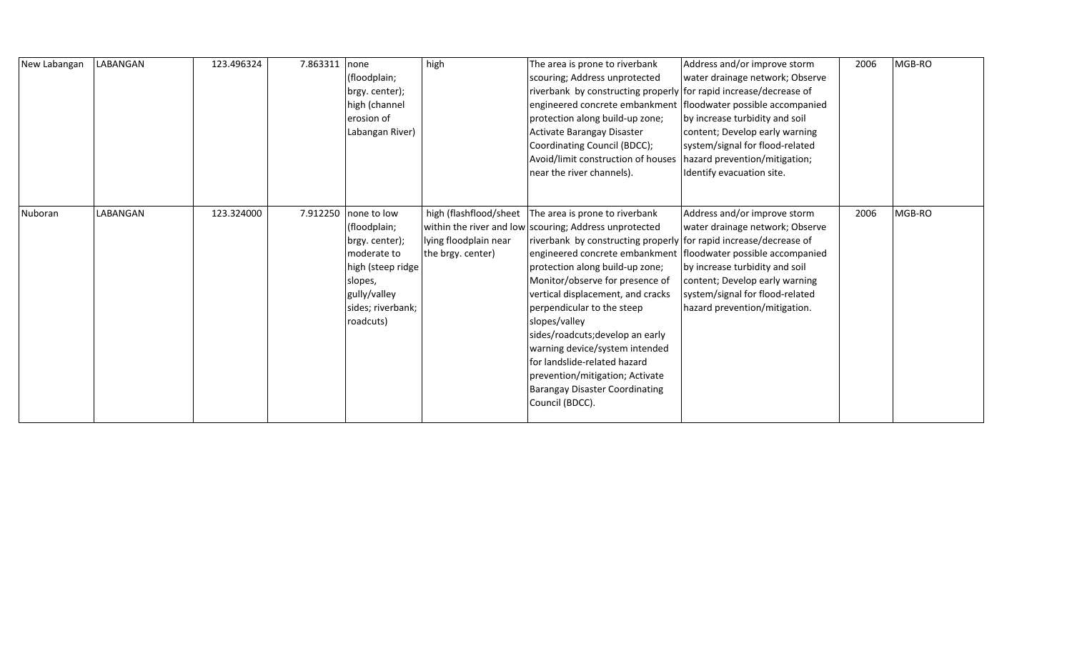| New Labangan | LABANGAN | 123.496324 | 7.863311 | none<br>(floodplain;<br>brgy. center);<br>high (channel<br>erosion of<br>Labangan River)                                                                  | high                                                                 | The area is prone to riverbank<br>scouring; Address unprotected<br>riverbank by constructing properly for rapid increase/decrease of<br>engineered concrete embankment   floodwater possible accompanied<br>protection along build-up zone;<br>Activate Barangay Disaster<br>Coordinating Council (BDCC);<br>Avoid/limit construction of houses<br>near the river channels).                                                                                                                                                                                                                     | Address and/or improve storm<br>water drainage network; Observe<br>by increase turbidity and soil<br>content; Develop early warning<br>system/signal for flood-related<br>hazard prevention/mitigation;<br>Identify evacuation site. | 2006 | MGB-RO |
|--------------|----------|------------|----------|-----------------------------------------------------------------------------------------------------------------------------------------------------------|----------------------------------------------------------------------|--------------------------------------------------------------------------------------------------------------------------------------------------------------------------------------------------------------------------------------------------------------------------------------------------------------------------------------------------------------------------------------------------------------------------------------------------------------------------------------------------------------------------------------------------------------------------------------------------|--------------------------------------------------------------------------------------------------------------------------------------------------------------------------------------------------------------------------------------|------|--------|
| Nuboran      | LABANGAN | 123.324000 |          | 7.912250   none to low<br>(floodplain;<br>brgy. center);<br>moderate to<br>high (steep ridge<br>slopes,<br>gully/valley<br>sides; riverbank;<br>roadcuts) | high (flashflood/sheet<br>lying floodplain near<br>the brgy. center) | The area is prone to riverbank<br>within the river and low scouring; Address unprotected<br>riverbank by constructing properly for rapid increase/decrease of<br>engineered concrete embankment   floodwater possible accompanied<br>protection along build-up zone;<br>Monitor/observe for presence of<br>vertical displacement, and cracks<br>perpendicular to the steep<br>slopes/valley<br>sides/roadcuts; develop an early<br>warning device/system intended<br>for landslide-related hazard<br>prevention/mitigation; Activate<br><b>Barangay Disaster Coordinating</b><br>Council (BDCC). | Address and/or improve storm<br>water drainage network; Observe<br>by increase turbidity and soil<br>content; Develop early warning<br>system/signal for flood-related<br>hazard prevention/mitigation.                              | 2006 | MGB-RO |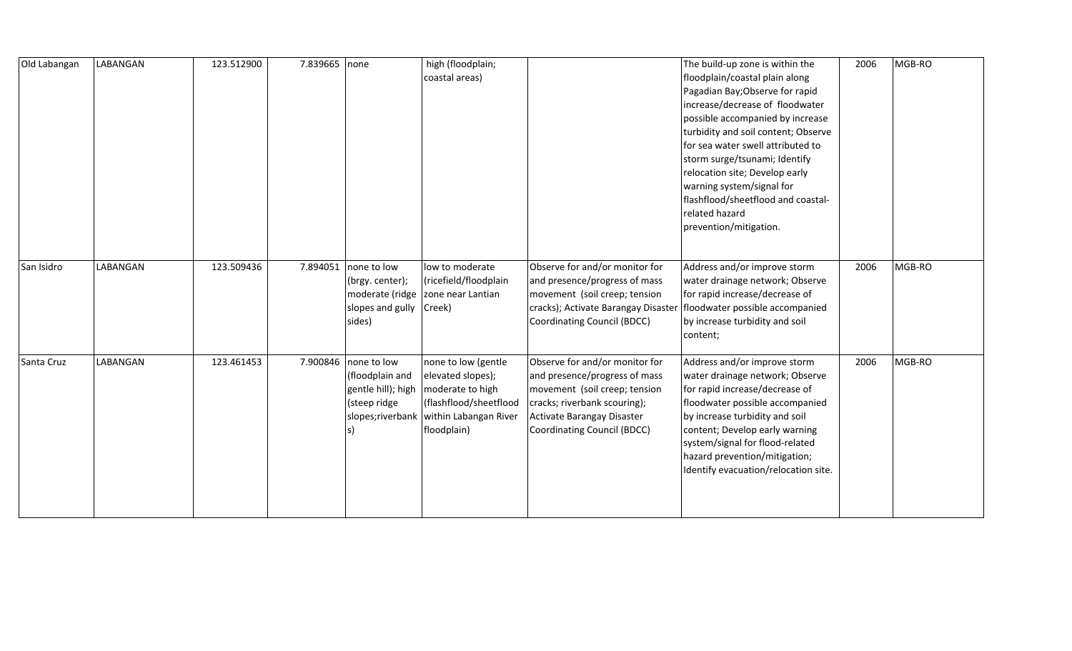| Old Labangan | LABANGAN | 123.512900 | 7.839665 none |                                                                                                   | high (floodplain;<br>coastal areas)                                                                                            |                                                                                                                                                                                               | The build-up zone is within the<br>floodplain/coastal plain along<br>Pagadian Bay; Observe for rapid<br>increase/decrease of floodwater<br>possible accompanied by increase<br>turbidity and soil content; Observe<br>for sea water swell attributed to<br>storm surge/tsunami; Identify<br>relocation site; Develop early<br>warning system/signal for<br>flashflood/sheetflood and coastal-<br>related hazard<br>prevention/mitigation. | 2006 | MGB-RO |
|--------------|----------|------------|---------------|---------------------------------------------------------------------------------------------------|--------------------------------------------------------------------------------------------------------------------------------|-----------------------------------------------------------------------------------------------------------------------------------------------------------------------------------------------|-------------------------------------------------------------------------------------------------------------------------------------------------------------------------------------------------------------------------------------------------------------------------------------------------------------------------------------------------------------------------------------------------------------------------------------------|------|--------|
| San Isidro   | LABANGAN | 123.509436 | 7.894051      | none to low<br>(brgy. center);<br>slopes and gully<br>sides)                                      | low to moderate<br>(ricefield/floodplain<br>moderate (ridge   zone near Lantian<br>Creek)                                      | Observe for and/or monitor for<br>and presence/progress of mass<br>movement (soil creep; tension<br>cracks); Activate Barangay Disaster<br>Coordinating Council (BDCC)                        | Address and/or improve storm<br>water drainage network; Observe<br>for rapid increase/decrease of<br>floodwater possible accompanied<br>by increase turbidity and soil<br>content;                                                                                                                                                                                                                                                        | 2006 | MGB-RO |
| Santa Cruz   | LABANGAN | 123.461453 |               | 7.900846 none to low<br>(floodplain and<br>gentle hill); high<br>(steep ridge<br>slopes;riverbank | none to low (gentle<br>elevated slopes);<br>moderate to high<br>(flashflood/sheetflood<br>within Labangan River<br>floodplain) | Observe for and/or monitor for<br>and presence/progress of mass<br>movement (soil creep; tension<br>cracks; riverbank scouring);<br>Activate Barangay Disaster<br>Coordinating Council (BDCC) | Address and/or improve storm<br>water drainage network; Observe<br>for rapid increase/decrease of<br>floodwater possible accompanied<br>by increase turbidity and soil<br>content; Develop early warning<br>system/signal for flood-related<br>hazard prevention/mitigation;<br>Identify evacuation/relocation site.                                                                                                                      | 2006 | MGB-RO |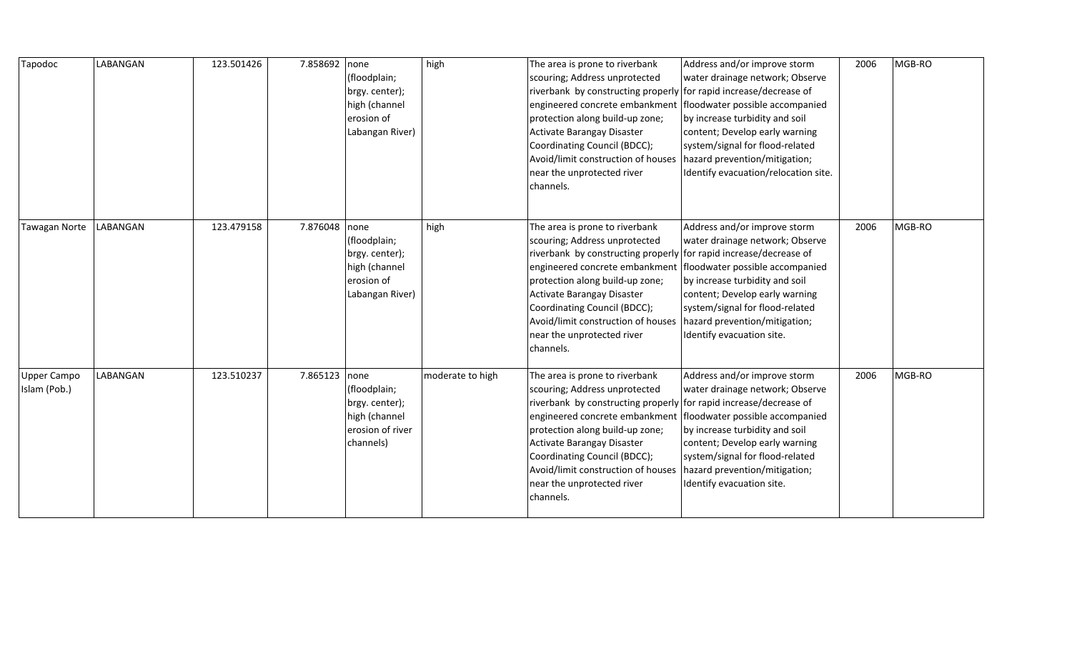| Tapodoc                            | LABANGAN | 123.501426 | 7.858692      | none<br>(floodplain;<br>brgy. center);<br>high (channel<br>erosion of<br>Labangan River) | high             | The area is prone to riverbank<br>scouring; Address unprotected<br>riverbank by constructing properly for rapid increase/decrease of<br>engineered concrete embankment<br>protection along build-up zone;<br>Activate Barangay Disaster<br>Coordinating Council (BDCC);<br>Avoid/limit construction of houses<br>near the unprotected river<br>channels.                                   | Address and/or improve storm<br>water drainage network; Observe<br>floodwater possible accompanied<br>by increase turbidity and soil<br>content; Develop early warning<br>system/signal for flood-related<br>hazard prevention/mitigation;<br>Identify evacuation/relocation site. | 2006 | MGB-RO |
|------------------------------------|----------|------------|---------------|------------------------------------------------------------------------------------------|------------------|--------------------------------------------------------------------------------------------------------------------------------------------------------------------------------------------------------------------------------------------------------------------------------------------------------------------------------------------------------------------------------------------|------------------------------------------------------------------------------------------------------------------------------------------------------------------------------------------------------------------------------------------------------------------------------------|------|--------|
| Tawagan Norte                      | LABANGAN | 123.479158 | 7.876048 none | (floodplain;<br>brgy. center);<br>high (channel<br>erosion of<br>Labangan River)         | high             | The area is prone to riverbank<br>scouring; Address unprotected<br>riverbank by constructing properly for rapid increase/decrease of<br>engineered concrete embankment<br>protection along build-up zone;<br>Activate Barangay Disaster<br>Coordinating Council (BDCC);<br>Avoid/limit construction of houses<br>near the unprotected river<br>channels.                                   | Address and/or improve storm<br>water drainage network; Observe<br>floodwater possible accompanied<br>by increase turbidity and soil<br>content; Develop early warning<br>system/signal for flood-related<br>hazard prevention/mitigation;<br>Identify evacuation site.            | 2006 | MGB-RO |
| <b>Upper Campo</b><br>Islam (Pob.) | LABANGAN | 123.510237 | 7.865123 none | (floodplain;<br>brgy. center);<br>high (channel<br>erosion of river<br>channels)         | moderate to high | The area is prone to riverbank<br>scouring; Address unprotected<br>riverbank by constructing properly for rapid increase/decrease of<br>engineered concrete embankment   floodwater possible accompanied<br>protection along build-up zone;<br>Activate Barangay Disaster<br>Coordinating Council (BDCC);<br>Avoid/limit construction of houses<br>near the unprotected river<br>channels. | Address and/or improve storm<br>water drainage network; Observe<br>by increase turbidity and soil<br>content; Develop early warning<br>system/signal for flood-related<br>hazard prevention/mitigation;<br>Identify evacuation site.                                               | 2006 | MGB-RO |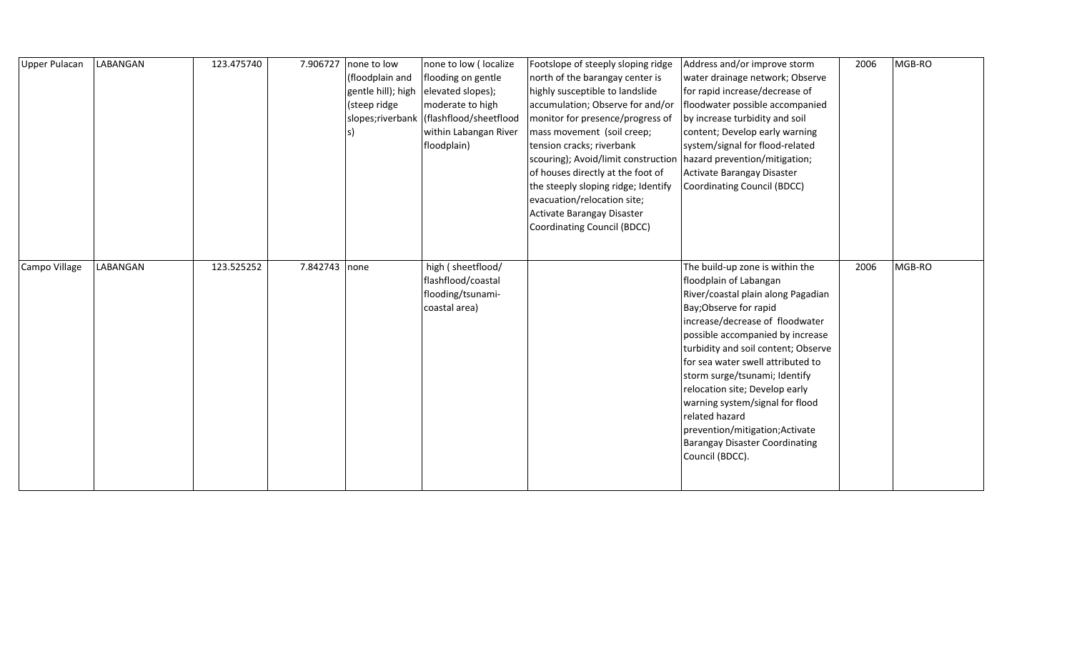| <b>Upper Pulacan</b> | LABANGAN | 123.475740 | 7.906727 | none to low<br>(floodplain and<br>gentle hill); high<br>(steep ridge | none to low (localize<br>flooding on gentle<br>elevated slopes);<br>moderate to high<br>slopes;riverbank   (flashflood/sheetflood<br>within Labangan River<br>floodplain) | Footslope of steeply sloping ridge<br>north of the barangay center is<br>highly susceptible to landslide<br>accumulation; Observe for and/or<br>monitor for presence/progress of<br>mass movement (soil creep;<br>tension cracks; riverbank<br>scouring); Avoid/limit construction<br>of houses directly at the foot of<br>the steeply sloping ridge; Identify<br>evacuation/relocation site;<br>Activate Barangay Disaster<br>Coordinating Council (BDCC) | Address and/or improve storm<br>water drainage network; Observe<br>for rapid increase/decrease of<br>floodwater possible accompanied<br>by increase turbidity and soil<br>content; Develop early warning<br>system/signal for flood-related<br>hazard prevention/mitigation;<br>Activate Barangay Disaster<br><b>Coordinating Council (BDCC)</b>                                                                                                                                                   | 2006 | MGB-RO |
|----------------------|----------|------------|----------|----------------------------------------------------------------------|---------------------------------------------------------------------------------------------------------------------------------------------------------------------------|------------------------------------------------------------------------------------------------------------------------------------------------------------------------------------------------------------------------------------------------------------------------------------------------------------------------------------------------------------------------------------------------------------------------------------------------------------|----------------------------------------------------------------------------------------------------------------------------------------------------------------------------------------------------------------------------------------------------------------------------------------------------------------------------------------------------------------------------------------------------------------------------------------------------------------------------------------------------|------|--------|
| Campo Village        | LABANGAN | 123.525252 | 7.842743 | none                                                                 | high (sheetflood/<br>flashflood/coastal<br>flooding/tsunami-<br>coastal area)                                                                                             |                                                                                                                                                                                                                                                                                                                                                                                                                                                            | The build-up zone is within the<br>floodplain of Labangan<br>River/coastal plain along Pagadian<br>Bay; Observe for rapid<br>increase/decrease of floodwater<br>possible accompanied by increase<br>turbidity and soil content; Observe<br>for sea water swell attributed to<br>storm surge/tsunami; Identify<br>relocation site; Develop early<br>warning system/signal for flood<br>related hazard<br>prevention/mitigation;Activate<br><b>Barangay Disaster Coordinating</b><br>Council (BDCC). | 2006 | MGB-RO |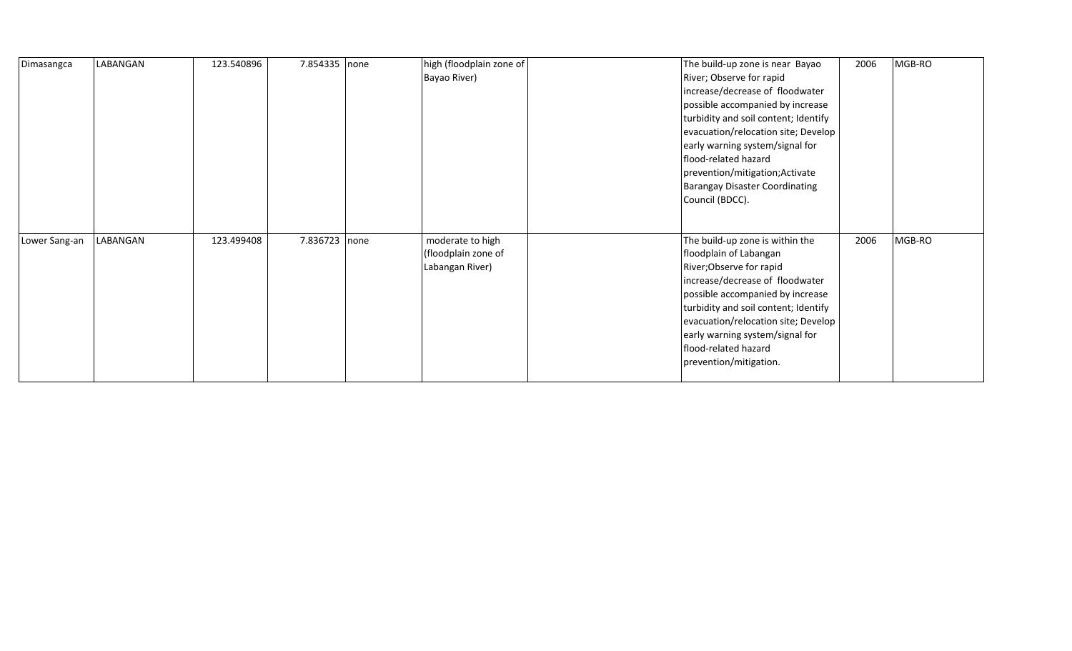| Dimasangca    | LABANGAN | 123.540896 | 7.854335 none | high (floodplain zone of | The build-up zone is near Bayao       | 2006 | MGB-RO |
|---------------|----------|------------|---------------|--------------------------|---------------------------------------|------|--------|
|               |          |            |               |                          | River; Observe for rapid              |      |        |
|               |          |            |               | Bayao River)             |                                       |      |        |
|               |          |            |               |                          | increase/decrease of floodwater       |      |        |
|               |          |            |               |                          | possible accompanied by increase      |      |        |
|               |          |            |               |                          | turbidity and soil content; Identify  |      |        |
|               |          |            |               |                          | evacuation/relocation site; Develop   |      |        |
|               |          |            |               |                          | early warning system/signal for       |      |        |
|               |          |            |               |                          | flood-related hazard                  |      |        |
|               |          |            |               |                          | prevention/mitigation; Activate       |      |        |
|               |          |            |               |                          | <b>Barangay Disaster Coordinating</b> |      |        |
|               |          |            |               |                          | Council (BDCC).                       |      |        |
|               |          |            |               |                          |                                       |      |        |
|               |          |            |               |                          |                                       |      |        |
| Lower Sang-an | LABANGAN | 123.499408 | 7.836723 none | moderate to high         | The build-up zone is within the       | 2006 | MGB-RO |
|               |          |            |               | (floodplain zone of      | floodplain of Labangan                |      |        |
|               |          |            |               | Labangan River)          | River; Observe for rapid              |      |        |
|               |          |            |               |                          | increase/decrease of floodwater       |      |        |
|               |          |            |               |                          | possible accompanied by increase      |      |        |
|               |          |            |               |                          | turbidity and soil content; Identify  |      |        |
|               |          |            |               |                          | evacuation/relocation site; Develop   |      |        |
|               |          |            |               |                          | early warning system/signal for       |      |        |
|               |          |            |               |                          | flood-related hazard                  |      |        |
|               |          |            |               |                          | prevention/mitigation.                |      |        |
|               |          |            |               |                          |                                       |      |        |
|               |          |            |               |                          |                                       |      |        |